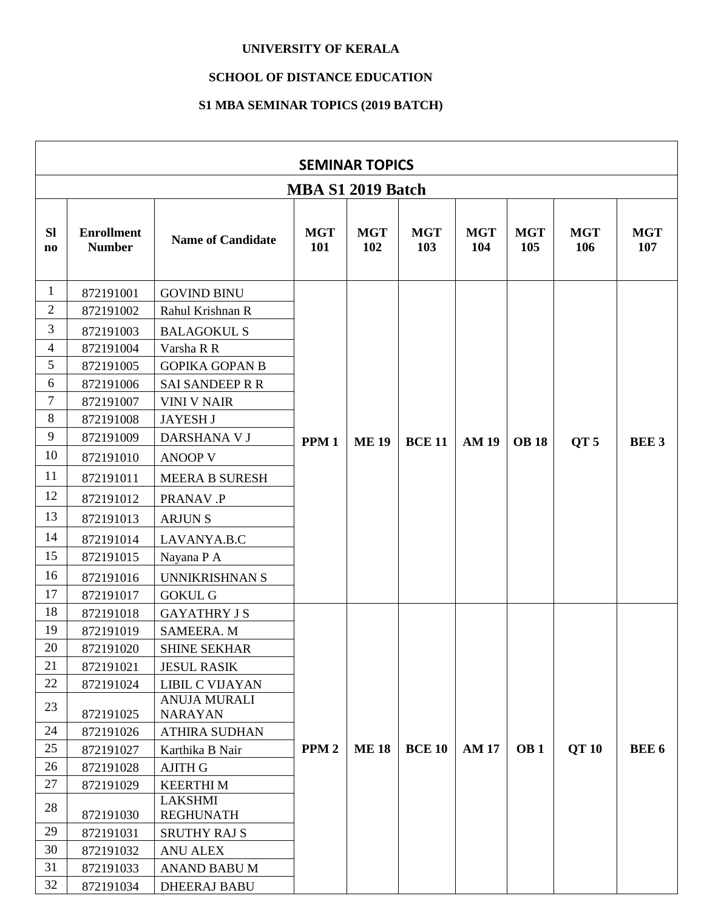## **UNIVERSITY OF KERALA**

## **SCHOOL OF DISTANCE EDUCATION**

## **S1 MBA SEMINAR TOPICS (2019 BATCH)**

|                 | <b>SEMINAR TOPICS</b>              |                                       |                   |                   |                   |                   |                   |                   |                   |
|-----------------|------------------------------------|---------------------------------------|-------------------|-------------------|-------------------|-------------------|-------------------|-------------------|-------------------|
|                 | MBA S1 2019 Batch                  |                                       |                   |                   |                   |                   |                   |                   |                   |
| <b>SI</b><br>no | <b>Enrollment</b><br><b>Number</b> | <b>Name of Candidate</b>              | <b>MGT</b><br>101 | <b>MGT</b><br>102 | <b>MGT</b><br>103 | <b>MGT</b><br>104 | <b>MGT</b><br>105 | <b>MGT</b><br>106 | <b>MGT</b><br>107 |
| 1               | 872191001                          | <b>GOVIND BINU</b>                    |                   |                   |                   |                   |                   |                   |                   |
| $\overline{2}$  | 872191002                          | Rahul Krishnan R                      |                   |                   |                   |                   |                   |                   |                   |
| 3               | 872191003                          | <b>BALAGOKUL S</b>                    |                   |                   |                   |                   |                   |                   |                   |
| 4               | 872191004                          | Varsha R R                            |                   |                   |                   |                   |                   |                   |                   |
| 5               | 872191005                          | <b>GOPIKA GOPAN B</b>                 |                   |                   |                   |                   |                   |                   |                   |
| 6               | 872191006                          | <b>SAI SANDEEP R R</b>                |                   |                   |                   |                   |                   |                   |                   |
| $\tau$          | 872191007                          | <b>VINI V NAIR</b>                    |                   |                   |                   |                   |                   |                   |                   |
| 8               | 872191008                          | <b>JAYESH J</b>                       |                   |                   |                   |                   |                   |                   |                   |
| 9               | 872191009                          | DARSHANA V J                          | PPM <sub>1</sub>  | <b>ME 19</b>      | <b>BCE 11</b>     | <b>AM19</b>       | <b>OB</b> 18      | QT <sub>5</sub>   | <b>BEE3</b>       |
| 10              | 872191010                          | <b>ANOOP V</b>                        |                   |                   |                   |                   |                   |                   |                   |
| 11              | 872191011                          | <b>MEERA B SURESH</b>                 |                   |                   |                   |                   |                   |                   |                   |
| 12              | 872191012                          | PRANAV .P                             |                   |                   |                   |                   |                   |                   |                   |
| 13              | 872191013                          | <b>ARJUNS</b>                         |                   |                   |                   |                   |                   |                   |                   |
| 14              | 872191014                          | LAVANYA.B.C                           |                   |                   |                   |                   |                   |                   |                   |
| 15              | 872191015                          | Nayana P A                            |                   |                   |                   |                   |                   |                   |                   |
| 16              | 872191016                          | <b>UNNIKRISHNAN S</b>                 |                   |                   |                   |                   |                   |                   |                   |
| 17              | 872191017                          | <b>GOKUL G</b>                        |                   |                   |                   |                   |                   |                   |                   |
| 18              | 872191018                          | <b>GAYATHRY J S</b>                   |                   |                   |                   |                   |                   |                   |                   |
| 19              | 872191019                          | <b>SAMEERA. M</b>                     |                   |                   |                   |                   |                   |                   |                   |
| 20              | 872191020                          | <b>SHINE SEKHAR</b>                   |                   |                   |                   |                   |                   |                   |                   |
| 21              | 872191021                          | <b>JESUL RASIK</b>                    |                   |                   |                   |                   |                   |                   |                   |
| 22              | 872191024                          | <b>LIBIL C VIJAYAN</b>                |                   |                   |                   |                   |                   |                   |                   |
| 23              | 872191025                          | <b>ANUJA MURALI</b><br><b>NARAYAN</b> |                   |                   |                   |                   |                   |                   |                   |
| 24              | 872191026                          | <b>ATHIRA SUDHAN</b>                  |                   |                   |                   |                   |                   |                   |                   |
| 25              | 872191027                          | Karthika B Nair                       | PPM <sub>2</sub>  | <b>ME18</b>       | <b>BCE 10</b>     | <b>AM17</b>       | OB <sub>1</sub>   | <b>QT10</b>       | <b>BEE 6</b>      |
| 26              | 872191028                          | <b>AJITH G</b>                        |                   |                   |                   |                   |                   |                   |                   |
| 27              | 872191029                          | <b>KEERTHIM</b>                       |                   |                   |                   |                   |                   |                   |                   |
| 28              |                                    | <b>LAKSHMI</b>                        |                   |                   |                   |                   |                   |                   |                   |
| 29              | 872191030                          | <b>REGHUNATH</b>                      |                   |                   |                   |                   |                   |                   |                   |
| 30              | 872191031                          | <b>SRUTHY RAJ S</b>                   |                   |                   |                   |                   |                   |                   |                   |
| 31              | 872191032<br>872191033             | <b>ANU ALEX</b><br>ANAND BABU M       |                   |                   |                   |                   |                   |                   |                   |
| 32              | 872191034                          | <b>DHEERAJ BABU</b>                   |                   |                   |                   |                   |                   |                   |                   |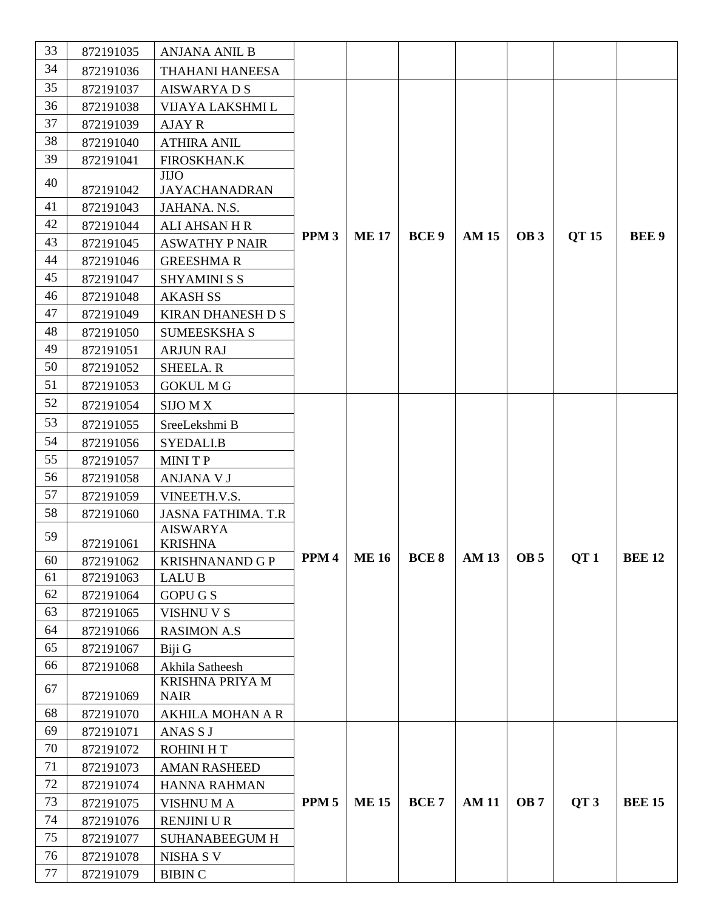| 33       | 872191035 | <b>ANJANA ANIL B</b>                      |                  |              |                  |              |                 |                 |               |
|----------|-----------|-------------------------------------------|------------------|--------------|------------------|--------------|-----------------|-----------------|---------------|
| 34       | 872191036 | THAHANI HANEESA                           |                  |              |                  |              |                 |                 |               |
| 35       | 872191037 | <b>AISWARYADS</b>                         |                  |              |                  |              |                 |                 |               |
| 36       | 872191038 | VIJAYA LAKSHMI L                          |                  |              |                  |              |                 |                 |               |
| 37       | 872191039 | <b>AJAY R</b>                             |                  |              |                  |              |                 |                 |               |
| 38       | 872191040 | <b>ATHIRA ANIL</b>                        |                  |              |                  |              |                 |                 |               |
| 39       | 872191041 | <b>FIROSKHAN.K</b>                        |                  |              |                  |              |                 |                 |               |
| 40       |           | <b>JIJO</b>                               |                  |              |                  |              |                 |                 |               |
|          | 872191042 | <b>JAYACHANADRAN</b>                      |                  |              |                  |              |                 |                 |               |
| 41       | 872191043 | JAHANA. N.S.                              |                  |              |                  |              |                 |                 |               |
| 42       | 872191044 | <b>ALI AHSAN H R</b>                      | PPM <sub>3</sub> | <b>ME17</b>  | BCE <sub>9</sub> | <b>AM 15</b> | OB <sub>3</sub> | QT 15           | <b>BEE9</b>   |
| 43       | 872191045 | <b>ASWATHY P NAIR</b>                     |                  |              |                  |              |                 |                 |               |
| 44       | 872191046 | <b>GREESHMAR</b>                          |                  |              |                  |              |                 |                 |               |
| 45       | 872191047 | <b>SHYAMINI S S</b>                       |                  |              |                  |              |                 |                 |               |
| 46       | 872191048 | <b>AKASH SS</b>                           |                  |              |                  |              |                 |                 |               |
| 47       | 872191049 | <b>KIRAN DHANESH D S</b>                  |                  |              |                  |              |                 |                 |               |
| 48       | 872191050 | <b>SUMEESKSHA S</b>                       |                  |              |                  |              |                 |                 |               |
| 49       | 872191051 | <b>ARJUN RAJ</b>                          |                  |              |                  |              |                 |                 |               |
| 50       | 872191052 | <b>SHEELA.R</b>                           |                  |              |                  |              |                 |                 |               |
| 51       | 872191053 | <b>GOKUL M G</b>                          |                  |              |                  |              |                 |                 |               |
| 52       | 872191054 | <b>SIJO M X</b>                           |                  |              |                  |              |                 |                 |               |
| 53       | 872191055 | SreeLekshmi B                             |                  |              |                  |              |                 |                 |               |
| 54       | 872191056 | SYEDALI.B                                 |                  |              |                  |              |                 |                 |               |
| 55       | 872191057 | <b>MINITP</b>                             |                  |              |                  |              |                 |                 |               |
| 56       | 872191058 | <b>ANJANA V J</b>                         |                  |              |                  |              |                 |                 |               |
| 57       | 872191059 | VINEETH.V.S.                              |                  |              |                  |              |                 |                 |               |
| 58       | 872191060 | <b>JASNA FATHIMA. T.R</b>                 |                  |              |                  |              |                 |                 |               |
| 59       |           | <b>AISWARYA</b>                           |                  |              |                  |              |                 |                 |               |
|          | 872191061 | <b>KRISHNA</b>                            | PPM <sub>4</sub> | <b>ME 16</b> | <b>BCE 8</b>     | <b>AM 13</b> | <b>OB</b> 5     | QT <sub>1</sub> | <b>BEE 12</b> |
| 60       | 872191062 | <b>KRISHNANAND G P</b>                    |                  |              |                  |              |                 |                 |               |
| 61<br>62 | 872191063 | <b>LALUB</b>                              |                  |              |                  |              |                 |                 |               |
| 63       | 872191064 | <b>GOPU G S</b>                           |                  |              |                  |              |                 |                 |               |
| 64       | 872191065 | <b>VISHNU V S</b><br><b>RASIMON A.S</b>   |                  |              |                  |              |                 |                 |               |
| 65       | 872191066 |                                           |                  |              |                  |              |                 |                 |               |
| 66       | 872191067 | Biji G                                    |                  |              |                  |              |                 |                 |               |
|          | 872191068 | Akhila Satheesh<br><b>KRISHNA PRIYA M</b> |                  |              |                  |              |                 |                 |               |
| 67       | 872191069 | <b>NAIR</b>                               |                  |              |                  |              |                 |                 |               |
| 68       | 872191070 | <b>AKHILA MOHAN A R</b>                   |                  |              |                  |              |                 |                 |               |
| 69       | 872191071 | ANAS S J                                  |                  |              |                  |              |                 |                 |               |
| 70       | 872191072 | <b>ROHINI HT</b>                          |                  |              |                  |              |                 |                 |               |
| 71       | 872191073 | <b>AMAN RASHEED</b>                       |                  |              |                  |              |                 |                 |               |
| 72       | 872191074 | <b>HANNA RAHMAN</b>                       |                  |              |                  |              |                 |                 |               |
| 73       | 872191075 | <b>VISHNUMA</b>                           | PPM <sub>5</sub> | <b>ME15</b>  | <b>BCE7</b>      | <b>AM11</b>  | OB <sub>7</sub> | QT <sub>3</sub> | <b>BEE 15</b> |
| 74       | 872191076 | <b>RENJINI U R</b>                        |                  |              |                  |              |                 |                 |               |
| 75       | 872191077 | <b>SUHANABEEGUM H</b>                     |                  |              |                  |              |                 |                 |               |
| 76       | 872191078 | NISHA S V                                 |                  |              |                  |              |                 |                 |               |
| 77       | 872191079 | <b>BIBIN C</b>                            |                  |              |                  |              |                 |                 |               |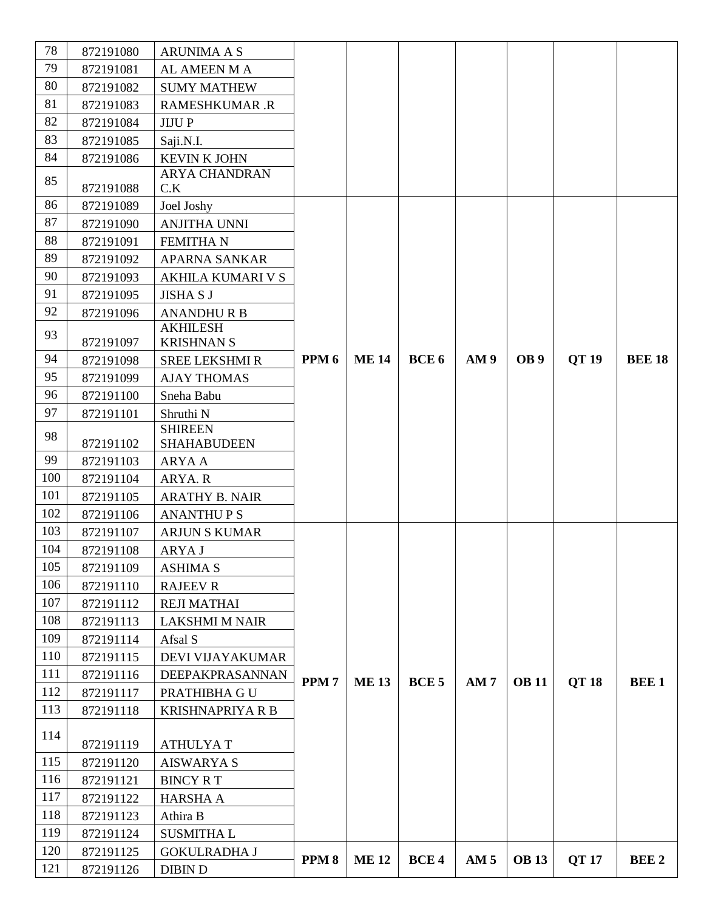| 78  | 872191080 | <b>ARUNIMA A S</b>          |                  |             |                  |                 |                 |             |               |
|-----|-----------|-----------------------------|------------------|-------------|------------------|-----------------|-----------------|-------------|---------------|
| 79  | 872191081 | AL AMEEN M A                |                  |             |                  |                 |                 |             |               |
| 80  | 872191082 | <b>SUMY MATHEW</b>          |                  |             |                  |                 |                 |             |               |
| 81  | 872191083 | <b>RAMESHKUMAR.R</b>        |                  |             |                  |                 |                 |             |               |
| 82  | 872191084 | <b>JIJUP</b>                |                  |             |                  |                 |                 |             |               |
| 83  | 872191085 | Saji.N.I.                   |                  |             |                  |                 |                 |             |               |
| 84  | 872191086 | <b>KEVIN K JOHN</b>         |                  |             |                  |                 |                 |             |               |
| 85  |           | <b>ARYA CHANDRAN</b>        |                  |             |                  |                 |                 |             |               |
|     | 872191088 | C.K                         |                  |             |                  |                 |                 |             |               |
| 86  | 872191089 | Joel Joshy                  |                  |             |                  |                 |                 |             |               |
| 87  | 872191090 | ANJITHA UNNI                |                  |             |                  |                 |                 |             |               |
| 88  | 872191091 | <b>FEMITHAN</b>             |                  |             |                  |                 |                 |             |               |
| 89  | 872191092 | APARNA SANKAR               |                  |             |                  |                 |                 |             |               |
| 90  | 872191093 | <b>AKHILA KUMARI V S</b>    |                  |             |                  |                 |                 |             |               |
| 91  | 872191095 | <b>JISHA S J</b>            |                  |             |                  |                 |                 |             |               |
| 92  | 872191096 | <b>ANANDHURB</b>            |                  |             |                  |                 |                 |             |               |
| 93  |           | <b>AKHILESH</b>             |                  |             |                  |                 |                 |             |               |
| 94  | 872191097 | <b>KRISHNAN S</b>           | PPM <sub>6</sub> | <b>ME14</b> | BCE <sub>6</sub> | AM <sub>9</sub> | OB <sub>9</sub> |             | <b>BEE 18</b> |
|     | 872191098 | <b>SREE LEKSHMI R</b>       |                  |             |                  |                 |                 | <b>QT19</b> |               |
| 95  | 872191099 | <b>AJAY THOMAS</b>          |                  |             |                  |                 |                 |             |               |
| 96  | 872191100 | Sneha Babu                  |                  |             |                  |                 |                 |             |               |
| 97  | 872191101 | Shruthi N<br><b>SHIREEN</b> |                  |             |                  |                 |                 |             |               |
| 98  | 872191102 | <b>SHAHABUDEEN</b>          |                  |             |                  |                 |                 |             |               |
| 99  | 872191103 | <b>ARYA A</b>               |                  |             |                  |                 |                 |             |               |
| 100 | 872191104 | ARYA. R                     |                  |             |                  |                 |                 |             |               |
| 101 | 872191105 | <b>ARATHY B. NAIR</b>       |                  |             |                  |                 |                 |             |               |
| 102 | 872191106 | <b>ANANTHUPS</b>            |                  |             |                  |                 |                 |             |               |
| 103 | 872191107 | <b>ARJUN S KUMAR</b>        |                  |             |                  |                 |                 |             |               |
| 104 | 872191108 | ARYA J                      |                  |             |                  |                 |                 |             |               |
| 105 | 872191109 | <b>ASHIMA S</b>             |                  |             |                  |                 |                 |             |               |
| 106 | 872191110 | <b>RAJEEV R</b>             |                  |             |                  |                 |                 |             |               |
| 107 | 872191112 | <b>REJI MATHAI</b>          |                  |             |                  |                 |                 |             |               |
| 108 | 872191113 | <b>LAKSHMI M NAIR</b>       |                  |             |                  |                 |                 |             |               |
| 109 | 872191114 | Afsal S                     |                  |             |                  |                 |                 |             |               |
| 110 | 872191115 | <b>DEVI VIJAYAKUMAR</b>     |                  |             |                  |                 |                 |             |               |
| 111 | 872191116 | DEEPAKPRASANNAN             |                  |             |                  |                 |                 |             |               |
| 112 | 872191117 | PRATHIBHA GU                | PPM <sub>7</sub> | <b>ME13</b> | BCE <sub>5</sub> | AM <sub>7</sub> | <b>OB</b> 11    | <b>QT18</b> | <b>BEE1</b>   |
| 113 | 872191118 | <b>KRISHNAPRIYA R B</b>     |                  |             |                  |                 |                 |             |               |
|     |           |                             |                  |             |                  |                 |                 |             |               |
| 114 | 872191119 | <b>ATHULYAT</b>             |                  |             |                  |                 |                 |             |               |
| 115 | 872191120 | <b>AISWARYA S</b>           |                  |             |                  |                 |                 |             |               |
| 116 | 872191121 | <b>BINCY RT</b>             |                  |             |                  |                 |                 |             |               |
| 117 | 872191122 | <b>HARSHA A</b>             |                  |             |                  |                 |                 |             |               |
| 118 | 872191123 | Athira B                    |                  |             |                  |                 |                 |             |               |
| 119 | 872191124 | <b>SUSMITHAL</b>            |                  |             |                  |                 |                 |             |               |
| 120 | 872191125 | <b>GOKULRADHA J</b>         |                  |             |                  |                 |                 |             |               |
| 121 | 872191126 | <b>DIBIN D</b>              | PPM <sub>8</sub> | <b>ME12</b> | BCE <sub>4</sub> | AM <sub>5</sub> | <b>OB</b> 13    | <b>QT17</b> | <b>BEE 2</b>  |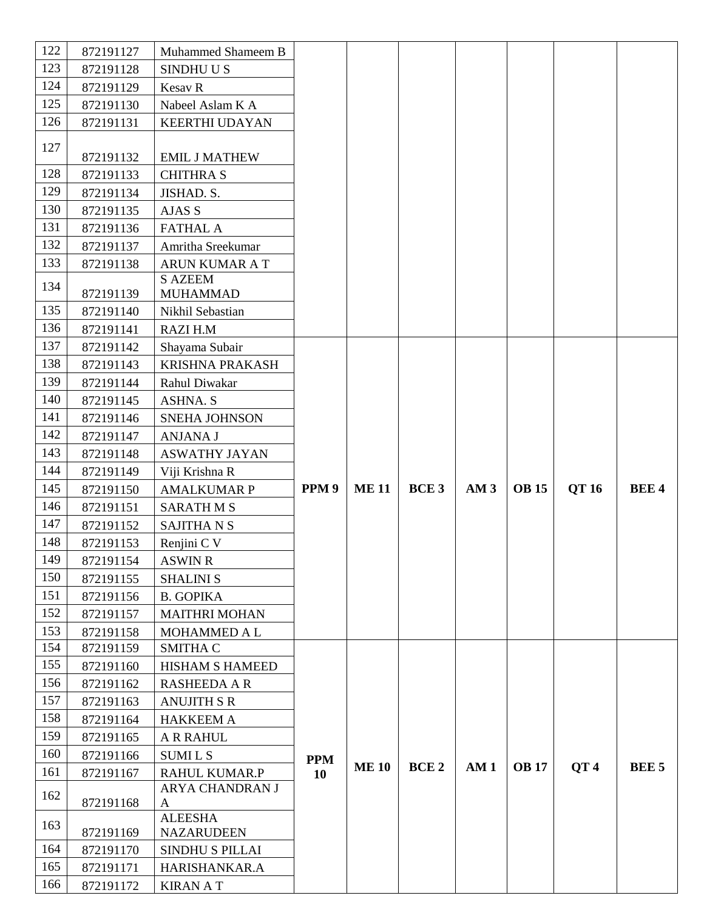| 122 | 872191127 | Muhammed Shameem B     |                  |             |             |                 |              |                 |              |
|-----|-----------|------------------------|------------------|-------------|-------------|-----------------|--------------|-----------------|--------------|
| 123 | 872191128 | SINDHUUS               |                  |             |             |                 |              |                 |              |
| 124 | 872191129 | Kesav R                |                  |             |             |                 |              |                 |              |
| 125 | 872191130 | Nabeel Aslam K A       |                  |             |             |                 |              |                 |              |
| 126 | 872191131 | <b>KEERTHI UDAYAN</b>  |                  |             |             |                 |              |                 |              |
| 127 | 872191132 | <b>EMIL J MATHEW</b>   |                  |             |             |                 |              |                 |              |
| 128 | 872191133 | <b>CHITHRA S</b>       |                  |             |             |                 |              |                 |              |
| 129 | 872191134 | JISHAD. S.             |                  |             |             |                 |              |                 |              |
| 130 | 872191135 | AJAS S                 |                  |             |             |                 |              |                 |              |
| 131 | 872191136 | <b>FATHAL A</b>        |                  |             |             |                 |              |                 |              |
| 132 | 872191137 | Amritha Sreekumar      |                  |             |             |                 |              |                 |              |
| 133 | 872191138 | ARUN KUMAR A T         |                  |             |             |                 |              |                 |              |
|     |           | <b>S AZEEM</b>         |                  |             |             |                 |              |                 |              |
| 134 | 872191139 | <b>MUHAMMAD</b>        |                  |             |             |                 |              |                 |              |
| 135 | 872191140 | Nikhil Sebastian       |                  |             |             |                 |              |                 |              |
| 136 | 872191141 | RAZI H.M               |                  |             |             |                 |              |                 |              |
| 137 | 872191142 | Shayama Subair         |                  |             |             |                 |              |                 |              |
| 138 | 872191143 | <b>KRISHNA PRAKASH</b> |                  |             |             |                 |              |                 |              |
| 139 | 872191144 | Rahul Diwakar          |                  |             |             |                 |              |                 |              |
| 140 | 872191145 | <b>ASHNA. S</b>        |                  |             |             |                 |              |                 |              |
| 141 | 872191146 | SNEHA JOHNSON          |                  |             |             |                 |              |                 |              |
| 142 | 872191147 | <b>ANJANA J</b>        |                  |             |             |                 |              |                 |              |
| 143 | 872191148 | <b>ASWATHY JAYAN</b>   |                  |             |             |                 |              |                 |              |
| 144 | 872191149 | Viji Krishna R         |                  |             |             |                 |              |                 |              |
| 145 | 872191150 | <b>AMALKUMAR P</b>     | PPM <sub>9</sub> | <b>ME11</b> | <b>BCE3</b> | AM <sub>3</sub> | <b>OB</b> 15 | QT 16           | <b>BEE4</b>  |
| 146 | 872191151 | <b>SARATHMS</b>        |                  |             |             |                 |              |                 |              |
| 147 | 872191152 | <b>SAJITHANS</b>       |                  |             |             |                 |              |                 |              |
| 148 | 872191153 | Renjini C V            |                  |             |             |                 |              |                 |              |
| 149 | 872191154 | <b>ASWIN R</b>         |                  |             |             |                 |              |                 |              |
| 150 | 872191155 | <b>SHALINI S</b>       |                  |             |             |                 |              |                 |              |
| 151 | 872191156 | <b>B. GOPIKA</b>       |                  |             |             |                 |              |                 |              |
| 152 | 872191157 | <b>MAITHRI MOHAN</b>   |                  |             |             |                 |              |                 |              |
| 153 | 872191158 | <b>MOHAMMED A L</b>    |                  |             |             |                 |              |                 |              |
| 154 | 872191159 | <b>SMITHA C</b>        |                  |             |             |                 |              |                 |              |
| 155 | 872191160 | HISHAM S HAMEED        |                  |             |             |                 |              |                 |              |
| 156 | 872191162 | <b>RASHEEDA A R</b>    |                  |             |             |                 |              |                 |              |
| 157 | 872191163 | <b>ANUJITH S R</b>     |                  |             |             |                 |              |                 |              |
| 158 | 872191164 | <b>HAKKEEM A</b>       |                  |             |             |                 |              |                 |              |
| 159 | 872191165 | <b>A R RAHUL</b>       |                  |             |             |                 |              |                 |              |
| 160 | 872191166 | <b>SUMILS</b>          | <b>PPM</b>       | <b>ME10</b> | <b>BCE2</b> | AM <sub>1</sub> | <b>OB</b> 17 | QT <sub>4</sub> | <b>BEE 5</b> |
| 161 | 872191167 | <b>RAHUL KUMAR.P</b>   | 10               |             |             |                 |              |                 |              |
| 162 | 872191168 | ARYA CHANDRAN J<br>A   |                  |             |             |                 |              |                 |              |
|     |           | <b>ALEESHA</b>         |                  |             |             |                 |              |                 |              |
| 163 | 872191169 | <b>NAZARUDEEN</b>      |                  |             |             |                 |              |                 |              |
| 164 | 872191170 | <b>SINDHU S PILLAI</b> |                  |             |             |                 |              |                 |              |
|     |           |                        |                  |             |             |                 |              |                 |              |
| 165 | 872191171 | HARISHANKAR.A          |                  |             |             |                 |              |                 |              |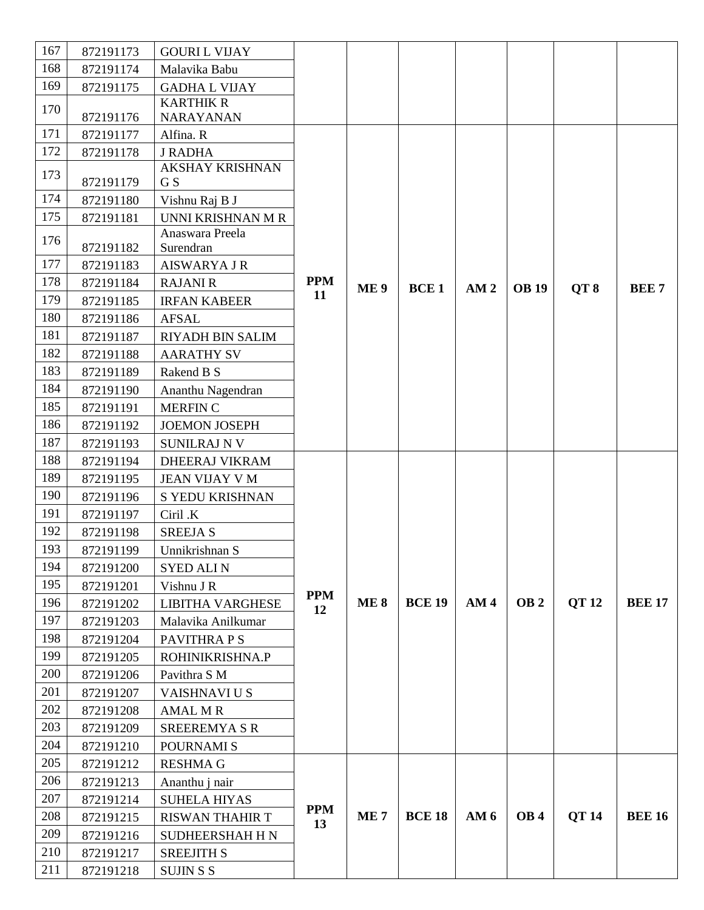| 167 | 872191173 | <b>GOURIL VIJAY</b>           |                  |                 |               |                 |                 |                 |               |
|-----|-----------|-------------------------------|------------------|-----------------|---------------|-----------------|-----------------|-----------------|---------------|
| 168 | 872191174 | Malavika Babu                 |                  |                 |               |                 |                 |                 |               |
| 169 | 872191175 | <b>GADHA L VIJAY</b>          |                  |                 |               |                 |                 |                 |               |
| 170 | 872191176 | <b>KARTHIK R</b><br>NARAYANAN |                  |                 |               |                 |                 |                 |               |
| 171 | 872191177 | Alfina. R                     |                  |                 |               |                 |                 |                 |               |
| 172 | 872191178 | <b>J RADHA</b>                |                  |                 |               |                 |                 |                 |               |
| 173 | 872191179 | <b>AKSHAY KRISHNAN</b><br>G S |                  |                 |               |                 |                 |                 |               |
| 174 | 872191180 | Vishnu Raj B J                |                  |                 |               |                 |                 |                 |               |
| 175 | 872191181 | UNNI KRISHNAN M R             |                  |                 |               |                 |                 |                 |               |
| 176 |           | Anaswara Preela               |                  |                 |               |                 |                 |                 |               |
|     | 872191182 | Surendran                     |                  |                 |               |                 |                 |                 |               |
| 177 | 872191183 | <b>AISWARYA J R</b>           |                  |                 |               |                 |                 |                 |               |
| 178 | 872191184 | <b>RAJANI R</b>               | <b>PPM</b><br>11 | <b>ME9</b>      | <b>BCE1</b>   | AM <sub>2</sub> | <b>OB</b> 19    | QT <sub>8</sub> | <b>BEE7</b>   |
| 179 | 872191185 | <b>IRFAN KABEER</b>           |                  |                 |               |                 |                 |                 |               |
| 180 | 872191186 | <b>AFSAL</b>                  |                  |                 |               |                 |                 |                 |               |
| 181 | 872191187 | RIYADH BIN SALIM              |                  |                 |               |                 |                 |                 |               |
| 182 | 872191188 | <b>AARATHY SV</b>             |                  |                 |               |                 |                 |                 |               |
| 183 | 872191189 | Rakend B S                    |                  |                 |               |                 |                 |                 |               |
| 184 | 872191190 | Ananthu Nagendran             |                  |                 |               |                 |                 |                 |               |
| 185 | 872191191 | <b>MERFINC</b>                |                  |                 |               |                 |                 |                 |               |
| 186 | 872191192 | <b>JOEMON JOSEPH</b>          |                  |                 |               |                 |                 |                 |               |
| 187 | 872191193 | <b>SUNILRAJ N V</b>           |                  |                 |               |                 |                 |                 |               |
| 188 | 872191194 | DHEERAJ VIKRAM                |                  |                 |               |                 |                 |                 |               |
| 189 | 872191195 | JEAN VIJAY V M                |                  |                 |               |                 |                 |                 |               |
| 190 | 872191196 | S YEDU KRISHNAN               |                  |                 |               |                 |                 |                 |               |
| 191 | 872191197 | Ciril .K                      |                  |                 |               |                 |                 |                 |               |
| 192 | 872191198 | <b>SREEJA S</b>               |                  |                 |               |                 |                 |                 |               |
| 193 | 872191199 | Unnikrishnan S                |                  |                 |               |                 |                 |                 |               |
| 194 | 872191200 | <b>SYED ALIN</b>              |                  |                 |               |                 |                 |                 |               |
| 195 | 872191201 | Vishnu J R                    | <b>PPM</b>       |                 |               |                 |                 |                 |               |
| 196 | 872191202 | <b>LIBITHA VARGHESE</b>       | 12               | <b>ME8</b>      | <b>BCE 19</b> | AM <sub>4</sub> | OB <sub>2</sub> | <b>QT12</b>     | <b>BEE 17</b> |
| 197 | 872191203 | Malavika Anilkumar            |                  |                 |               |                 |                 |                 |               |
| 198 | 872191204 | PAVITHRA P S                  |                  |                 |               |                 |                 |                 |               |
| 199 | 872191205 | ROHINIKRISHNA.P               |                  |                 |               |                 |                 |                 |               |
| 200 | 872191206 | Pavithra S M                  |                  |                 |               |                 |                 |                 |               |
| 201 | 872191207 | VAISHNAVI U S                 |                  |                 |               |                 |                 |                 |               |
| 202 | 872191208 | <b>AMAL M R</b>               |                  |                 |               |                 |                 |                 |               |
| 203 | 872191209 | <b>SREEREMYA S R</b>          |                  |                 |               |                 |                 |                 |               |
| 204 | 872191210 | POURNAMI S                    |                  |                 |               |                 |                 |                 |               |
| 205 | 872191212 | <b>RESHMA G</b>               |                  |                 |               |                 |                 |                 |               |
| 206 | 872191213 | Ananthu j nair                |                  |                 |               |                 |                 |                 |               |
| 207 | 872191214 | <b>SUHELA HIYAS</b>           |                  |                 |               |                 |                 |                 |               |
| 208 | 872191215 | <b>RISWAN THAHIR T</b>        | <b>PPM</b><br>13 | ME <sub>7</sub> | <b>BCE 18</b> | AM <sub>6</sub> | OB <sub>4</sub> | <b>QT14</b>     | <b>BEE 16</b> |
| 209 | 872191216 | <b>SUDHEERSHAH H N</b>        |                  |                 |               |                 |                 |                 |               |
| 210 | 872191217 | <b>SREEJITH S</b>             |                  |                 |               |                 |                 |                 |               |
| 211 | 872191218 | <b>SUJIN S S</b>              |                  |                 |               |                 |                 |                 |               |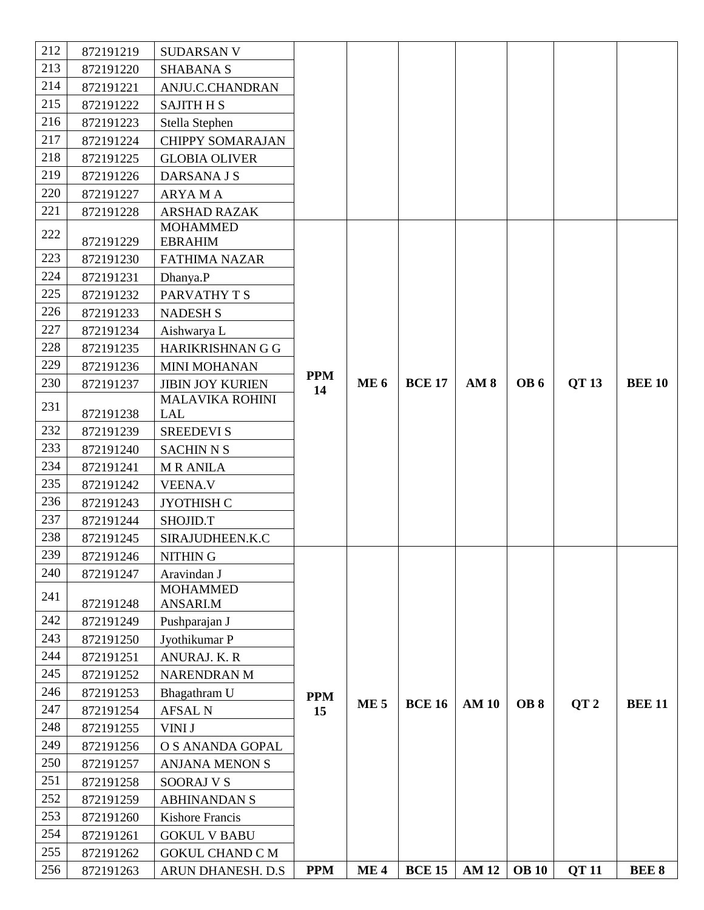| 212 | 872191219 | <b>SUDARSAN V</b>              |            |                 |               |                 |                 |                 |               |
|-----|-----------|--------------------------------|------------|-----------------|---------------|-----------------|-----------------|-----------------|---------------|
| 213 | 872191220 | <b>SHABANA S</b>               |            |                 |               |                 |                 |                 |               |
| 214 | 872191221 | ANJU.C.CHANDRAN                |            |                 |               |                 |                 |                 |               |
| 215 | 872191222 | <b>SAJITH H S</b>              |            |                 |               |                 |                 |                 |               |
| 216 | 872191223 | Stella Stephen                 |            |                 |               |                 |                 |                 |               |
| 217 | 872191224 | <b>CHIPPY SOMARAJAN</b>        |            |                 |               |                 |                 |                 |               |
| 218 | 872191225 | <b>GLOBIA OLIVER</b>           |            |                 |               |                 |                 |                 |               |
| 219 | 872191226 | DARSANA J S                    |            |                 |               |                 |                 |                 |               |
| 220 | 872191227 | <b>ARYAMA</b>                  |            |                 |               |                 |                 |                 |               |
| 221 | 872191228 | <b>ARSHAD RAZAK</b>            |            |                 |               |                 |                 |                 |               |
| 222 |           | <b>MOHAMMED</b>                |            |                 |               |                 |                 |                 |               |
|     | 872191229 | <b>EBRAHIM</b>                 |            |                 |               |                 |                 |                 |               |
| 223 | 872191230 | <b>FATHIMA NAZAR</b>           |            |                 |               |                 |                 |                 |               |
| 224 | 872191231 | Dhanya.P                       |            |                 |               |                 |                 |                 |               |
| 225 | 872191232 | PARVATHY T S                   |            |                 |               |                 |                 |                 |               |
| 226 | 872191233 | <b>NADESH S</b>                |            |                 |               |                 |                 |                 |               |
| 227 | 872191234 | Aishwarya L                    |            |                 |               |                 |                 |                 |               |
| 228 | 872191235 | HARIKRISHNAN G G               |            |                 |               |                 |                 |                 |               |
| 229 | 872191236 | <b>MINI MOHANAN</b>            | <b>PPM</b> |                 |               |                 |                 |                 |               |
| 230 | 872191237 | <b>JIBIN JOY KURIEN</b>        | 14         | <b>ME 6</b>     | <b>BCE 17</b> | AM <sub>8</sub> | OB6             | QT 13           | <b>BEE 10</b> |
| 231 | 872191238 | <b>MALAVIKA ROHINI</b><br>LAL  |            |                 |               |                 |                 |                 |               |
| 232 |           |                                |            |                 |               |                 |                 |                 |               |
| 233 | 872191239 | <b>SREEDEVI S</b>              |            |                 |               |                 |                 |                 |               |
|     | 872191240 | <b>SACHIN N S</b>              |            |                 |               |                 |                 |                 |               |
| 234 | 872191241 | <b>MRANILA</b>                 |            |                 |               |                 |                 |                 |               |
| 235 | 872191242 | <b>VEENA.V</b>                 |            |                 |               |                 |                 |                 |               |
| 236 | 872191243 | JYOTHISH C                     |            |                 |               |                 |                 |                 |               |
| 237 | 872191244 | SHOJID.T                       |            |                 |               |                 |                 |                 |               |
| 238 | 872191245 | SIRAJUDHEEN.K.C                |            |                 |               |                 |                 |                 |               |
| 239 | 872191246 | NITHIN G                       |            |                 |               |                 |                 |                 |               |
| 240 | 872191247 | Aravindan J                    |            |                 |               |                 |                 |                 |               |
| 241 | 872191248 | <b>MOHAMMED</b><br>ANSARI.M    |            |                 |               |                 |                 |                 |               |
| 242 | 872191249 | Pushparajan J                  |            |                 |               |                 |                 |                 |               |
| 243 | 872191250 | Jyothikumar P                  |            |                 |               |                 |                 |                 |               |
| 244 | 872191251 | ANURAJ. K. R                   |            |                 |               |                 |                 |                 |               |
| 245 | 872191252 | NARENDRAN M                    |            |                 |               |                 |                 |                 |               |
| 246 |           |                                |            |                 |               |                 |                 |                 |               |
| 247 | 872191253 | Bhagathram U<br><b>AFSAL N</b> | <b>PPM</b> | <b>ME5</b>      | <b>BCE 16</b> | <b>AM 10</b>    | OB <sub>8</sub> | QT <sub>2</sub> | <b>BEE 11</b> |
| 248 | 872191254 |                                | 15         |                 |               |                 |                 |                 |               |
|     | 872191255 | VINI J                         |            |                 |               |                 |                 |                 |               |
| 249 | 872191256 | O S ANANDA GOPAL               |            |                 |               |                 |                 |                 |               |
| 250 | 872191257 | <b>ANJANA MENON S</b>          |            |                 |               |                 |                 |                 |               |
| 251 | 872191258 | <b>SOORAJ V S</b>              |            |                 |               |                 |                 |                 |               |
| 252 | 872191259 | <b>ABHINANDAN S</b>            |            |                 |               |                 |                 |                 |               |
| 253 | 872191260 | <b>Kishore Francis</b>         |            |                 |               |                 |                 |                 |               |
| 254 | 872191261 | <b>GOKUL V BABU</b>            |            |                 |               |                 |                 |                 |               |
| 255 | 872191262 | <b>GOKUL CHAND C M</b>         |            |                 |               |                 |                 |                 |               |
| 256 | 872191263 | ARUN DHANESH. D.S.             | <b>PPM</b> | ME <sub>4</sub> | <b>BCE 15</b> | <b>AM 12</b>    | <b>OB</b> 10    | <b>QT11</b>     | <b>BEE 8</b>  |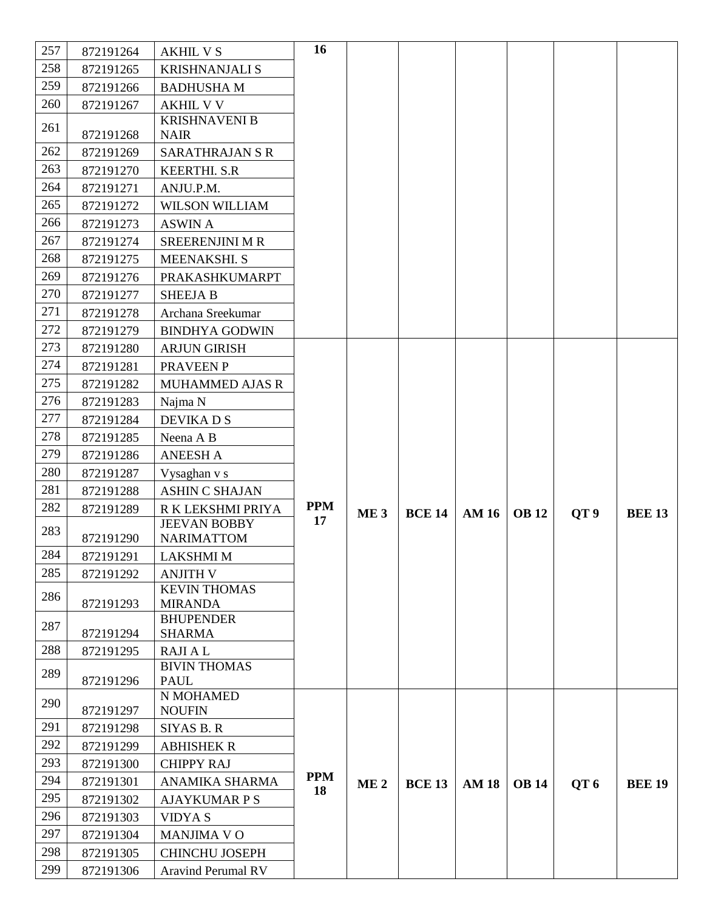| 257 | 872191264 | <b>AKHIL V S</b>                       | 16         |                 |               |              |              |                 |               |
|-----|-----------|----------------------------------------|------------|-----------------|---------------|--------------|--------------|-----------------|---------------|
| 258 | 872191265 | <b>KRISHNANJALI S</b>                  |            |                 |               |              |              |                 |               |
| 259 | 872191266 | <b>BADHUSHAM</b>                       |            |                 |               |              |              |                 |               |
| 260 | 872191267 | <b>AKHIL V V</b>                       |            |                 |               |              |              |                 |               |
| 261 | 872191268 | <b>KRISHNAVENI B</b><br><b>NAIR</b>    |            |                 |               |              |              |                 |               |
| 262 | 872191269 | <b>SARATHRAJAN S R</b>                 |            |                 |               |              |              |                 |               |
| 263 | 872191270 | <b>KEERTHI. S.R</b>                    |            |                 |               |              |              |                 |               |
| 264 | 872191271 | ANJU.P.M.                              |            |                 |               |              |              |                 |               |
| 265 | 872191272 | <b>WILSON WILLIAM</b>                  |            |                 |               |              |              |                 |               |
| 266 | 872191273 | <b>ASWIN A</b>                         |            |                 |               |              |              |                 |               |
| 267 | 872191274 | <b>SREERENJINI M R</b>                 |            |                 |               |              |              |                 |               |
| 268 | 872191275 | MEENAKSHI. S                           |            |                 |               |              |              |                 |               |
| 269 | 872191276 | PRAKASHKUMARPT                         |            |                 |               |              |              |                 |               |
| 270 | 872191277 | <b>SHEEJA B</b>                        |            |                 |               |              |              |                 |               |
| 271 | 872191278 | Archana Sreekumar                      |            |                 |               |              |              |                 |               |
| 272 | 872191279 | <b>BINDHYA GODWIN</b>                  |            |                 |               |              |              |                 |               |
| 273 | 872191280 | <b>ARJUN GIRISH</b>                    |            |                 |               |              |              |                 |               |
| 274 | 872191281 | PRAVEEN P                              |            |                 |               |              |              |                 |               |
| 275 | 872191282 | <b>MUHAMMED AJAS R</b>                 |            |                 |               |              |              |                 |               |
| 276 | 872191283 | Najma N                                |            |                 |               |              |              |                 |               |
| 277 | 872191284 | DEVIKA D S                             |            |                 |               |              |              |                 |               |
| 278 | 872191285 | Neena A B                              |            |                 |               |              |              |                 |               |
| 279 | 872191286 | <b>ANEESH A</b>                        |            |                 |               |              |              |                 |               |
| 280 | 872191287 | Vysaghan v s                           |            |                 |               |              |              |                 |               |
| 281 | 872191288 | <b>ASHIN C SHAJAN</b>                  |            |                 |               |              |              |                 |               |
| 282 | 872191289 | R K LEKSHMI PRIYA                      | <b>PPM</b> | ME <sub>3</sub> | <b>BCE 14</b> | <b>AM 16</b> | <b>OB</b> 12 | QT <sub>9</sub> | <b>BEE 13</b> |
| 283 |           | JEEVAN BOBBY                           | 17         |                 |               |              |              |                 |               |
|     | 872191290 | <b>NARIMATTOM</b>                      |            |                 |               |              |              |                 |               |
| 284 | 872191291 | <b>LAKSHMI M</b>                       |            |                 |               |              |              |                 |               |
| 285 | 872191292 | <b>ANJITH V</b><br><b>KEVIN THOMAS</b> |            |                 |               |              |              |                 |               |
| 286 | 872191293 | <b>MIRANDA</b>                         |            |                 |               |              |              |                 |               |
| 287 |           | <b>BHUPENDER</b>                       |            |                 |               |              |              |                 |               |
|     | 872191294 | <b>SHARMA</b>                          |            |                 |               |              |              |                 |               |
| 288 | 872191295 | <b>RAJIAL</b>                          |            |                 |               |              |              |                 |               |
| 289 |           | <b>BIVIN THOMAS</b>                    |            |                 |               |              |              |                 |               |
|     | 872191296 | <b>PAUL</b><br>N MOHAMED               |            |                 |               |              |              |                 |               |
| 290 | 872191297 | <b>NOUFIN</b>                          |            |                 |               |              |              |                 |               |
| 291 | 872191298 | <b>SIYAS B. R</b>                      |            |                 |               |              |              |                 |               |
| 292 | 872191299 | <b>ABHISHEK R</b>                      |            |                 |               |              |              |                 |               |
| 293 | 872191300 | <b>CHIPPY RAJ</b>                      |            |                 |               |              |              |                 |               |
| 294 | 872191301 | ANAMIKA SHARMA                         | <b>PPM</b> | ME <sub>2</sub> | <b>BCE 13</b> | <b>AM18</b>  | <b>OB</b> 14 | QT <sub>6</sub> | <b>BEE 19</b> |
| 295 | 872191302 | <b>AJAYKUMAR P S</b>                   | 18         |                 |               |              |              |                 |               |
| 296 | 872191303 | <b>VIDYAS</b>                          |            |                 |               |              |              |                 |               |
| 297 | 872191304 | <b>MANJIMA VO</b>                      |            |                 |               |              |              |                 |               |
| 298 | 872191305 | <b>CHINCHU JOSEPH</b>                  |            |                 |               |              |              |                 |               |
| 299 | 872191306 | <b>Aravind Perumal RV</b>              |            |                 |               |              |              |                 |               |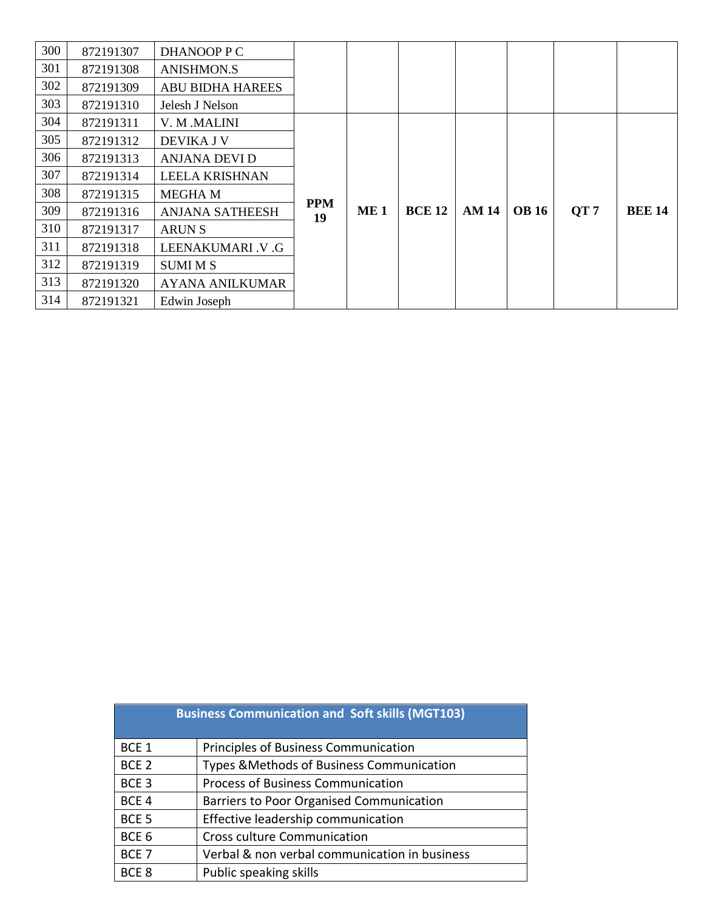| 300 | 872191307 | DHANOOP P C             |                  |                 |               |             |              |      |               |
|-----|-----------|-------------------------|------------------|-----------------|---------------|-------------|--------------|------|---------------|
| 301 | 872191308 | <b>ANISHMON.S</b>       |                  |                 |               |             |              |      |               |
| 302 | 872191309 | <b>ABU BIDHA HAREES</b> |                  |                 |               |             |              |      |               |
| 303 | 872191310 | Jelesh J Nelson         |                  |                 |               |             |              |      |               |
| 304 | 872191311 | V. M .MALINI            |                  |                 |               |             |              |      |               |
| 305 | 872191312 | <b>DEVIKA J V</b>       |                  |                 |               |             |              |      |               |
| 306 | 872191313 | ANJANA DEVI D           |                  |                 |               |             |              |      |               |
| 307 | 872191314 | <b>LEELA KRISHNAN</b>   |                  |                 |               |             |              |      |               |
| 308 | 872191315 | <b>MEGHAM</b>           |                  |                 |               |             |              |      |               |
| 309 | 872191316 | <b>ANJANA SATHEESH</b>  | <b>PPM</b><br>19 | ME <sub>1</sub> | <b>BCE 12</b> | <b>AM14</b> | <b>OB</b> 16 | QT 7 | <b>BEE 14</b> |
| 310 | 872191317 | ARUN S                  |                  |                 |               |             |              |      |               |
| 311 | 872191318 | LEENAKUMARI V .G        |                  |                 |               |             |              |      |               |
| 312 | 872191319 | <b>SUMI M S</b>         |                  |                 |               |             |              |      |               |
| 313 | 872191320 | <b>AYANA ANILKUMAR</b>  |                  |                 |               |             |              |      |               |
| 314 | 872191321 | Edwin Joseph            |                  |                 |               |             |              |      |               |

|                  | <b>Business Communication and Soft skills (MGT103)</b> |
|------------------|--------------------------------------------------------|
| BCE <sub>1</sub> | Principles of Business Communication                   |
| BCE <sub>2</sub> | Types & Methods of Business Communication              |
| BCE <sub>3</sub> | <b>Process of Business Communication</b>               |
| BCE <sub>4</sub> | Barriers to Poor Organised Communication               |
| BCE <sub>5</sub> | Effective leadership communication                     |
| BCE <sub>6</sub> | <b>Cross culture Communication</b>                     |
| BCE <sub>7</sub> | Verbal & non verbal communication in business          |
| BCE <sub>8</sub> | Public speaking skills                                 |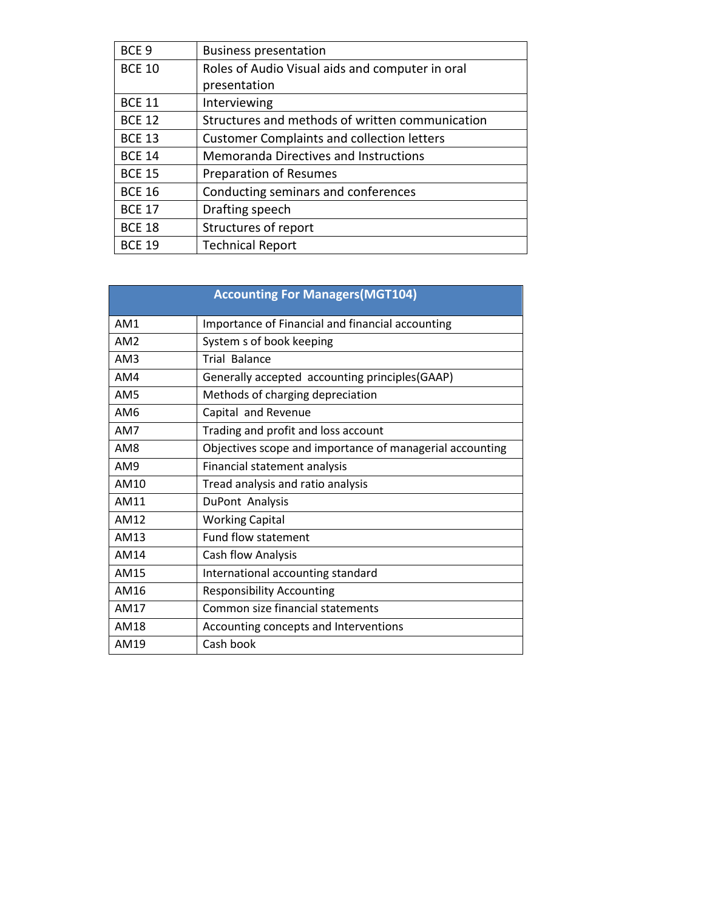| BCE <sub>9</sub> | <b>Business presentation</b>                      |
|------------------|---------------------------------------------------|
| <b>BCE 10</b>    | Roles of Audio Visual aids and computer in oral   |
|                  | presentation                                      |
| <b>BCE 11</b>    | Interviewing                                      |
| <b>BCE 12</b>    | Structures and methods of written communication   |
| <b>BCE 13</b>    | <b>Customer Complaints and collection letters</b> |
| <b>BCE 14</b>    | <b>Memoranda Directives and Instructions</b>      |
| <b>BCE 15</b>    | Preparation of Resumes                            |
| <b>BCE 16</b>    | Conducting seminars and conferences               |
| <b>BCE 17</b>    | Drafting speech                                   |
| <b>BCE 18</b>    | Structures of report                              |
| <b>BCF 19</b>    | <b>Technical Report</b>                           |

|                 | <b>Accounting For Managers (MGT104)</b>                  |
|-----------------|----------------------------------------------------------|
| AM <sub>1</sub> | Importance of Financial and financial accounting         |
| AM <sub>2</sub> | System s of book keeping                                 |
| AM3             | <b>Trial Balance</b>                                     |
| AM4             | Generally accepted accounting principles (GAAP)          |
| AM <sub>5</sub> | Methods of charging depreciation                         |
| AM <sub>6</sub> | Capital and Revenue                                      |
| AM7             | Trading and profit and loss account                      |
| AM <sub>8</sub> | Objectives scope and importance of managerial accounting |
| AM9             | Financial statement analysis                             |
| AM10            | Tread analysis and ratio analysis                        |
| AM11            | DuPont Analysis                                          |
| AM12            | <b>Working Capital</b>                                   |
| AM13            | Fund flow statement                                      |
| AM14            | Cash flow Analysis                                       |
| AM15            | International accounting standard                        |
| AM16            | <b>Responsibility Accounting</b>                         |
| AM17            | Common size financial statements                         |
| AM18            | Accounting concepts and Interventions                    |
| AM19            | Cash book                                                |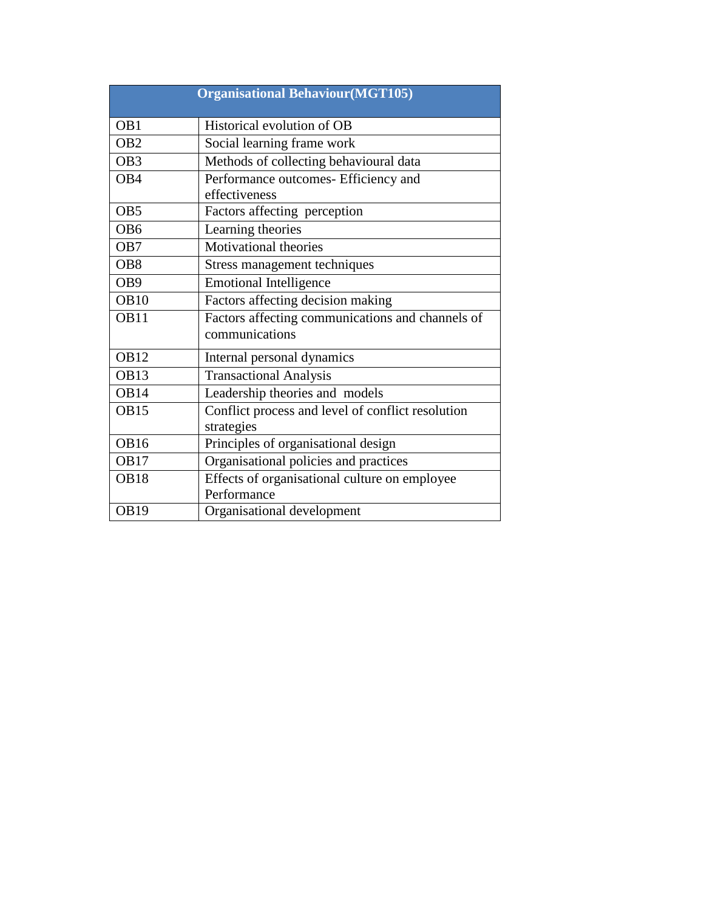|                  | <b>Organisational Behaviour(MGT105)</b>                            |
|------------------|--------------------------------------------------------------------|
| OB <sub>1</sub>  | Historical evolution of OB                                         |
| OB <sub>2</sub>  | Social learning frame work                                         |
| OB <sub>3</sub>  | Methods of collecting behavioural data                             |
| OB <sub>4</sub>  | Performance outcomes- Efficiency and                               |
|                  | effectiveness                                                      |
| OB <sub>5</sub>  | Factors affecting perception                                       |
| OB <sub>6</sub>  | Learning theories                                                  |
| OB7              | <b>Motivational theories</b>                                       |
| OB <sub>8</sub>  | Stress management techniques                                       |
| OB9              | <b>Emotional Intelligence</b>                                      |
| OB10             | Factors affecting decision making                                  |
| <b>OB11</b>      | Factors affecting communications and channels of<br>communications |
| <b>OB12</b>      | Internal personal dynamics                                         |
| OB <sub>13</sub> | <b>Transactional Analysis</b>                                      |
| OB14             | Leadership theories and models                                     |
| <b>OB15</b>      | Conflict process and level of conflict resolution<br>strategies    |
| <b>OB16</b>      | Principles of organisational design                                |
| <b>OB17</b>      | Organisational policies and practices                              |
| <b>OB18</b>      | Effects of organisational culture on employee                      |
|                  | Performance                                                        |
| <b>OB19</b>      | Organisational development                                         |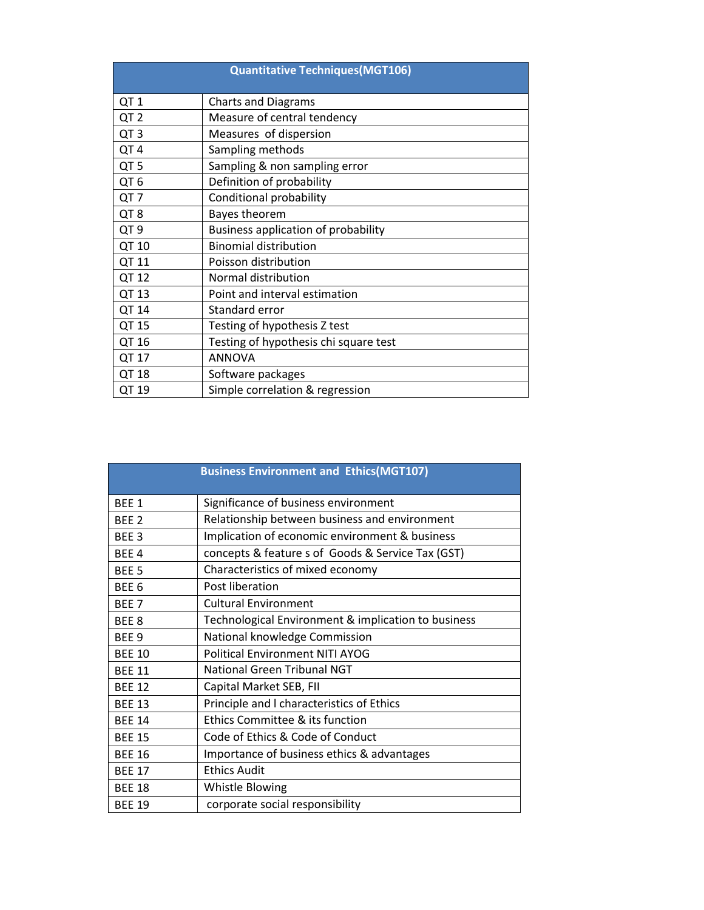| <b>Quantitative Techniques (MGT106)</b> |                                       |  |
|-----------------------------------------|---------------------------------------|--|
| QT <sub>1</sub>                         | <b>Charts and Diagrams</b>            |  |
| QT <sub>2</sub>                         | Measure of central tendency           |  |
| QT <sub>3</sub>                         | Measures of dispersion                |  |
| QT4                                     | Sampling methods                      |  |
| QT <sub>5</sub>                         | Sampling & non sampling error         |  |
| QT <sub>6</sub>                         | Definition of probability             |  |
| QT <sub>7</sub>                         | Conditional probability               |  |
| QT <sub>8</sub>                         | Bayes theorem                         |  |
| QT <sub>9</sub>                         | Business application of probability   |  |
| QT 10                                   | <b>Binomial distribution</b>          |  |
| QT 11                                   | Poisson distribution                  |  |
| QT 12                                   | Normal distribution                   |  |
| QT 13                                   | Point and interval estimation         |  |
| QT 14                                   | Standard error                        |  |
| QT 15                                   | Testing of hypothesis Z test          |  |
| QT 16                                   | Testing of hypothesis chi square test |  |
| QT 17                                   | <b>ANNOVA</b>                         |  |
| QT 18                                   | Software packages                     |  |
| QT 19                                   | Simple correlation & regression       |  |

|                  | <b>Business Environment and Ethics(MGT107)</b>      |
|------------------|-----------------------------------------------------|
| <b>BFF1</b>      | Significance of business environment                |
| BEE <sub>2</sub> | Relationship between business and environment       |
| BEE <sub>3</sub> | Implication of economic environment & business      |
| BEE <sub>4</sub> | concepts & feature s of Goods & Service Tax (GST)   |
| BEE <sub>5</sub> | Characteristics of mixed economy                    |
| BEE <sub>6</sub> | Post liberation                                     |
| BEE <sub>7</sub> | <b>Cultural Environment</b>                         |
| BEE <sub>8</sub> | Technological Environment & implication to business |
| BEE <sub>9</sub> | National knowledge Commission                       |
| <b>BEE 10</b>    | <b>Political Environment NITI AYOG</b>              |
| <b>BEE 11</b>    | <b>National Green Tribunal NGT</b>                  |
| <b>BEE 12</b>    | Capital Market SEB, FII                             |
| <b>BEE 13</b>    | Principle and I characteristics of Ethics           |
| <b>BEE 14</b>    | Ethics Committee & its function                     |
| <b>BEE 15</b>    | Code of Ethics & Code of Conduct                    |
| <b>BEE 16</b>    | Importance of business ethics & advantages          |
| <b>BEE 17</b>    | <b>Ethics Audit</b>                                 |
| <b>BEE 18</b>    | Whistle Blowing                                     |
| <b>BEE 19</b>    | corporate social responsibility                     |